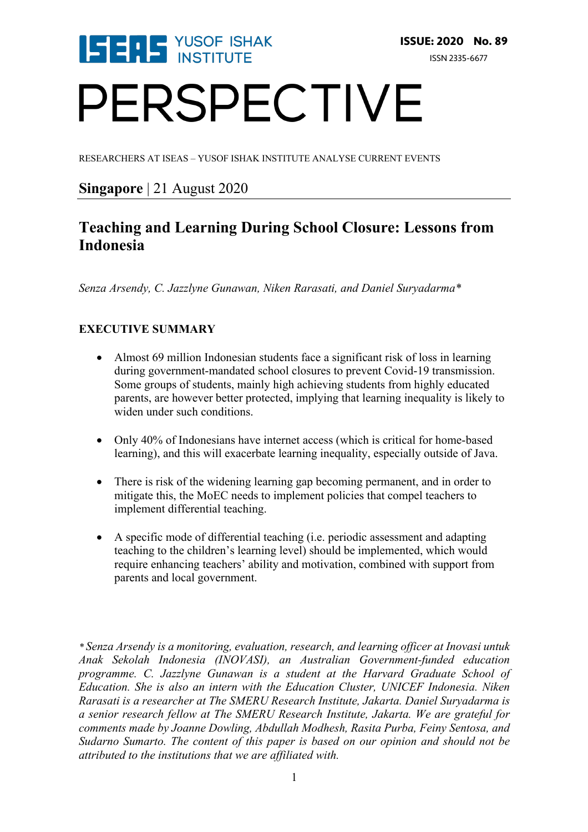

# PERSPECTIVE

RESEARCHERS AT ISEAS – YUSOF ISHAK INSTITUTE ANALYSE CURRENT EVENTS

### **Singapore** | 21 August 2020

### **Teaching and Learning During School Closure: Lessons from Indonesia**

*Senza Arsendy, C. Jazzlyne Gunawan, Niken Rarasati, and Daniel Suryadarma\**

#### **EXECUTIVE SUMMARY**

- Almost 69 million Indonesian students face a significant risk of loss in learning during government-mandated school closures to prevent Covid-19 transmission. Some groups of students, mainly high achieving students from highly educated parents, are however better protected, implying that learning inequality is likely to widen under such conditions.
- Only 40% of Indonesians have internet access (which is critical for home-based learning), and this will exacerbate learning inequality, especially outside of Java.
- There is risk of the widening learning gap becoming permanent, and in order to mitigate this, the MoEC needs to implement policies that compel teachers to implement differential teaching.
- A specific mode of differential teaching (i.e. periodic assessment and adapting teaching to the children's learning level) should be implemented, which would require enhancing teachers' ability and motivation, combined with support from parents and local government.

*\* Senza Arsendy is a monitoring, evaluation, research, and learning officer at Inovasi untuk Anak Sekolah Indonesia (INOVASI), an Australian Government-funded education programme. C. Jazzlyne Gunawan is a student at the Harvard Graduate School of Education. She is also an intern with the Education Cluster, UNICEF Indonesia. Niken Rarasati is a researcher at The SMERU Research Institute, Jakarta. Daniel Suryadarma is a senior research fellow at The SMERU Research Institute, Jakarta. We are grateful for comments made by Joanne Dowling, Abdullah Modhesh, Rasita Purba, Feiny Sentosa, and Sudarno Sumarto. The content of this paper is based on our opinion and should not be attributed to the institutions that we are affiliated with.*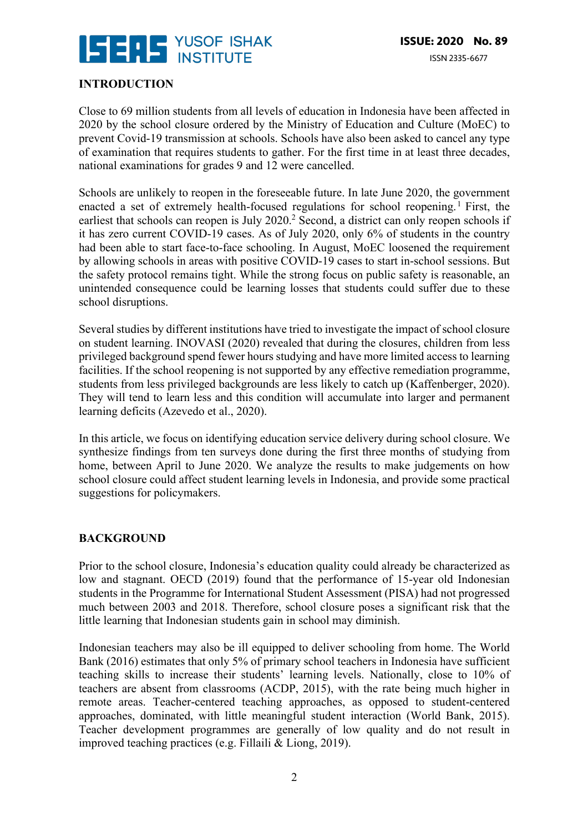

#### **INTRODUCTION**

Close to 69 million students from all levels of education in Indonesia have been affected in 2020 by the school closure ordered by the Ministry of Education and Culture (MoEC) to prevent Covid-19 transmission at schools. Schools have also been asked to cancel any type of examination that requires students to gather. For the first time in at least three decades, national examinations for grades 9 and 12 were cancelled.

Schools are unlikely to reopen in the foreseeable future. In late June 2020, the government enacted a set of extremely health-focused regulations for school reopening.<sup>1</sup> First, the earliest that schools can reopen is July 2020.<sup>2</sup> Second, a district can only reopen schools if it has zero current COVID-19 cases. As of July 2020, only 6% of students in the country had been able to start face-to-face schooling. In August, MoEC loosened the requirement by allowing schools in areas with positive COVID-19 cases to start in-school sessions. But the safety protocol remains tight. While the strong focus on public safety is reasonable, an unintended consequence could be learning losses that students could suffer due to these school disruptions.

Several studies by different institutions have tried to investigate the impact of school closure on student learning. INOVASI (2020) revealed that during the closures, children from less privileged background spend fewer hours studying and have more limited access to learning facilities. If the school reopening is not supported by any effective remediation programme, students from less privileged backgrounds are less likely to catch up (Kaffenberger, 2020). They will tend to learn less and this condition will accumulate into larger and permanent learning deficits (Azevedo et al., 2020).

In this article, we focus on identifying education service delivery during school closure. We synthesize findings from ten surveys done during the first three months of studying from home, between April to June 2020. We analyze the results to make judgements on how school closure could affect student learning levels in Indonesia, and provide some practical suggestions for policymakers.

#### **BACKGROUND**

Prior to the school closure, Indonesia's education quality could already be characterized as low and stagnant. OECD (2019) found that the performance of 15-year old Indonesian students in the Programme for International Student Assessment (PISA) had not progressed much between 2003 and 2018. Therefore, school closure poses a significant risk that the little learning that Indonesian students gain in school may diminish.

Indonesian teachers may also be ill equipped to deliver schooling from home. The World Bank (2016) estimates that only 5% of primary school teachers in Indonesia have sufficient teaching skills to increase their students' learning levels. Nationally, close to 10% of teachers are absent from classrooms (ACDP, 2015), with the rate being much higher in remote areas. Teacher-centered teaching approaches, as opposed to student-centered approaches, dominated, with little meaningful student interaction (World Bank, 2015). Teacher development programmes are generally of low quality and do not result in improved teaching practices (e.g. Fillaili & Liong, 2019).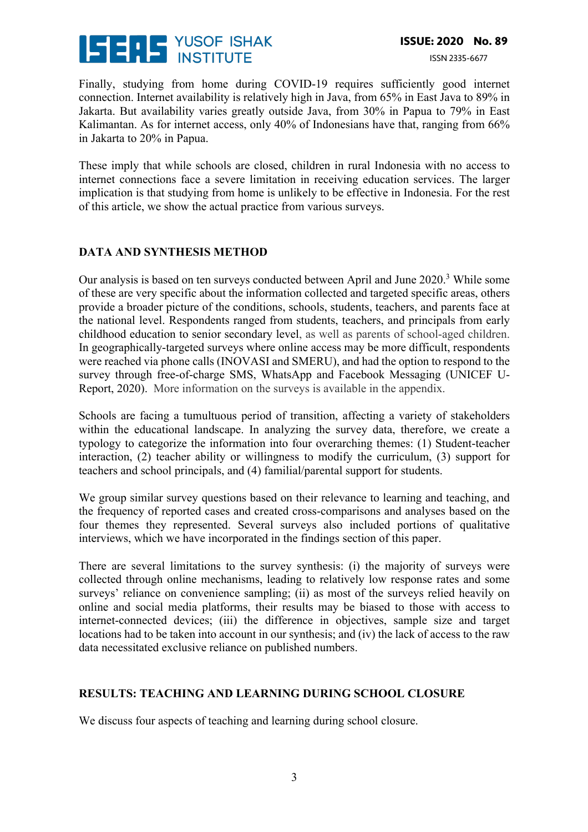

Finally, studying from home during COVID-19 requires sufficiently good internet connection. Internet availability is relatively high in Java, from 65% in East Java to 89% in Jakarta. But availability varies greatly outside Java, from 30% in Papua to 79% in East Kalimantan. As for internet access, only 40% of Indonesians have that, ranging from 66% in Jakarta to 20% in Papua.

These imply that while schools are closed, children in rural Indonesia with no access to internet connections face a severe limitation in receiving education services. The larger implication is that studying from home is unlikely to be effective in Indonesia. For the rest of this article, we show the actual practice from various surveys.

#### **DATA AND SYNTHESIS METHOD**

Our analysis is based on ten surveys conducted between April and June 2020.3 While some of these are very specific about the information collected and targeted specific areas, others provide a broader picture of the conditions, schools, students, teachers, and parents face at the national level. Respondents ranged from students, teachers, and principals from early childhood education to senior secondary level, as well as parents of school-aged children. In geographically-targeted surveys where online access may be more difficult, respondents were reached via phone calls (INOVASI and SMERU), and had the option to respond to the survey through free-of-charge SMS, WhatsApp and Facebook Messaging (UNICEF U-Report, 2020). More information on the surveys is available in the appendix.

Schools are facing a tumultuous period of transition, affecting a variety of stakeholders within the educational landscape. In analyzing the survey data, therefore, we create a typology to categorize the information into four overarching themes: (1) Student-teacher interaction, (2) teacher ability or willingness to modify the curriculum, (3) support for teachers and school principals, and (4) familial/parental support for students.

We group similar survey questions based on their relevance to learning and teaching, and the frequency of reported cases and created cross-comparisons and analyses based on the four themes they represented. Several surveys also included portions of qualitative interviews, which we have incorporated in the findings section of this paper.

There are several limitations to the survey synthesis: (i) the majority of surveys were collected through online mechanisms, leading to relatively low response rates and some surveys' reliance on convenience sampling; (ii) as most of the surveys relied heavily on online and social media platforms, their results may be biased to those with access to internet-connected devices; (iii) the difference in objectives, sample size and target locations had to be taken into account in our synthesis; and (iv) the lack of access to the raw data necessitated exclusive reliance on published numbers.

#### **RESULTS: TEACHING AND LEARNING DURING SCHOOL CLOSURE**

We discuss four aspects of teaching and learning during school closure.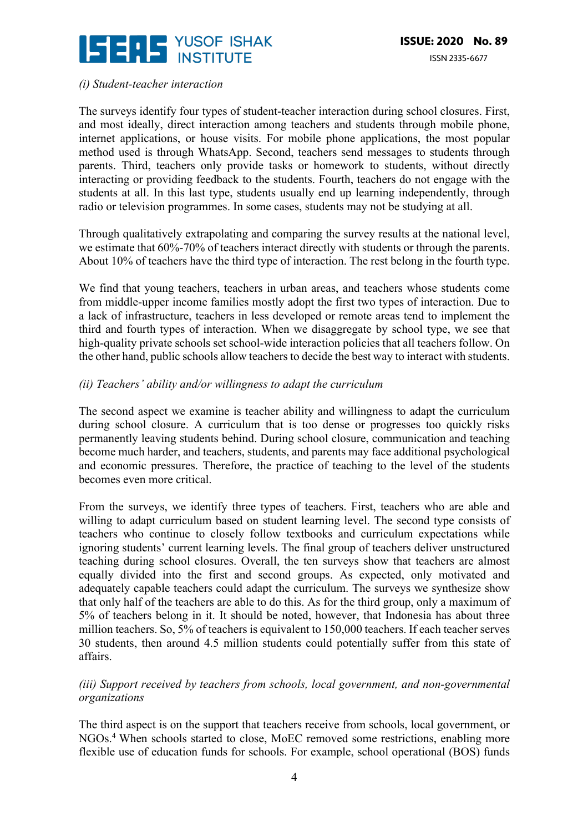

#### *(i) Student-teacher interaction*

The surveys identify four types of student-teacher interaction during school closures. First, and most ideally, direct interaction among teachers and students through mobile phone, internet applications, or house visits. For mobile phone applications, the most popular method used is through WhatsApp. Second, teachers send messages to students through parents. Third, teachers only provide tasks or homework to students, without directly interacting or providing feedback to the students. Fourth, teachers do not engage with the students at all. In this last type, students usually end up learning independently, through radio or television programmes. In some cases, students may not be studying at all.

Through qualitatively extrapolating and comparing the survey results at the national level, we estimate that 60%-70% of teachers interact directly with students or through the parents. About 10% of teachers have the third type of interaction. The rest belong in the fourth type.

We find that young teachers, teachers in urban areas, and teachers whose students come from middle-upper income families mostly adopt the first two types of interaction. Due to a lack of infrastructure, teachers in less developed or remote areas tend to implement the third and fourth types of interaction. When we disaggregate by school type, we see that high-quality private schools set school-wide interaction policies that all teachers follow. On the other hand, public schools allow teachers to decide the best way to interact with students.

#### *(ii) Teachers' ability and/or willingness to adapt the curriculum*

The second aspect we examine is teacher ability and willingness to adapt the curriculum during school closure. A curriculum that is too dense or progresses too quickly risks permanently leaving students behind. During school closure, communication and teaching become much harder, and teachers, students, and parents may face additional psychological and economic pressures. Therefore, the practice of teaching to the level of the students becomes even more critical.

From the surveys, we identify three types of teachers. First, teachers who are able and willing to adapt curriculum based on student learning level. The second type consists of teachers who continue to closely follow textbooks and curriculum expectations while ignoring students' current learning levels. The final group of teachers deliver unstructured teaching during school closures. Overall, the ten surveys show that teachers are almost equally divided into the first and second groups. As expected, only motivated and adequately capable teachers could adapt the curriculum. The surveys we synthesize show that only half of the teachers are able to do this. As for the third group, only a maximum of 5% of teachers belong in it. It should be noted, however, that Indonesia has about three million teachers. So, 5% of teachers is equivalent to 150,000 teachers. If each teacher serves 30 students, then around 4.5 million students could potentially suffer from this state of affairs.

#### *(iii) Support received by teachers from schools, local government, and non-governmental organizations*

The third aspect is on the support that teachers receive from schools, local government, or NGOs.4 When schools started to close, MoEC removed some restrictions, enabling more flexible use of education funds for schools. For example, school operational (BOS) funds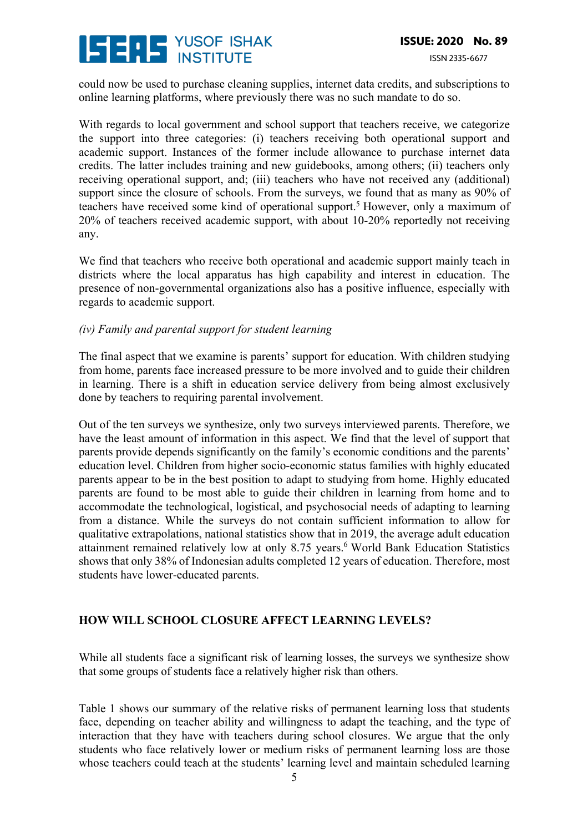# **ISERS** YUSOF ISHAK

could now be used to purchase cleaning supplies, internet data credits, and subscriptions to online learning platforms, where previously there was no such mandate to do so.

With regards to local government and school support that teachers receive, we categorize the support into three categories: (i) teachers receiving both operational support and academic support. Instances of the former include allowance to purchase internet data credits. The latter includes training and new guidebooks, among others; (ii) teachers only receiving operational support, and; (iii) teachers who have not received any (additional) support since the closure of schools. From the surveys, we found that as many as 90% of teachers have received some kind of operational support.<sup>5</sup> However, only a maximum of 20% of teachers received academic support, with about 10-20% reportedly not receiving any.

We find that teachers who receive both operational and academic support mainly teach in districts where the local apparatus has high capability and interest in education. The presence of non-governmental organizations also has a positive influence, especially with regards to academic support.

#### *(iv) Family and parental support for student learning*

The final aspect that we examine is parents' support for education. With children studying from home, parents face increased pressure to be more involved and to guide their children in learning. There is a shift in education service delivery from being almost exclusively done by teachers to requiring parental involvement.

Out of the ten surveys we synthesize, only two surveys interviewed parents. Therefore, we have the least amount of information in this aspect. We find that the level of support that parents provide depends significantly on the family's economic conditions and the parents' education level. Children from higher socio-economic status families with highly educated parents appear to be in the best position to adapt to studying from home. Highly educated parents are found to be most able to guide their children in learning from home and to accommodate the technological, logistical, and psychosocial needs of adapting to learning from a distance. While the surveys do not contain sufficient information to allow for qualitative extrapolations, national statistics show that in 2019, the average adult education attainment remained relatively low at only 8.75 years.<sup>6</sup> World Bank Education Statistics shows that only 38% of Indonesian adults completed 12 years of education. Therefore, most students have lower-educated parents.

#### **HOW WILL SCHOOL CLOSURE AFFECT LEARNING LEVELS?**

While all students face a significant risk of learning losses, the surveys we synthesize show that some groups of students face a relatively higher risk than others.

Table 1 shows our summary of the relative risks of permanent learning loss that students face, depending on teacher ability and willingness to adapt the teaching, and the type of interaction that they have with teachers during school closures. We argue that the only students who face relatively lower or medium risks of permanent learning loss are those whose teachers could teach at the students' learning level and maintain scheduled learning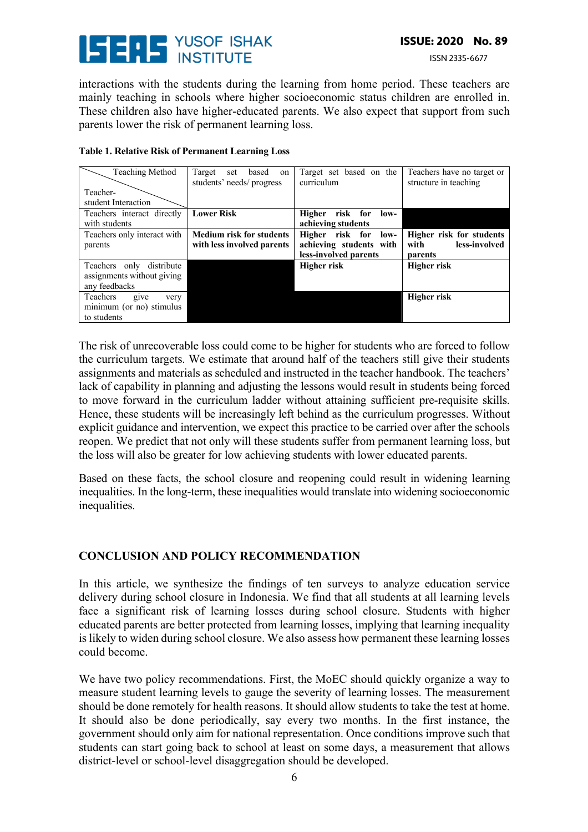# **ISERE** YUSOF ISHAK

ISSN 2335-6677

interactions with the students during the learning from home period. These teachers are mainly teaching in schools where higher socioeconomic status children are enrolled in. These children also have higher-educated parents. We also expect that support from such parents lower the risk of permanent learning loss.

| Teaching Method                                                         | Target<br>based on<br>set<br>students' needs/ progress        | Target set based on the<br>curriculum                                    | Teachers have no target or<br>structure in teaching          |
|-------------------------------------------------------------------------|---------------------------------------------------------------|--------------------------------------------------------------------------|--------------------------------------------------------------|
| Teacher-<br>student Interaction                                         |                                                               |                                                                          |                                                              |
| Teachers interact directly<br>with students                             | <b>Lower Risk</b>                                             | Higher risk for<br>low-<br>achieving students                            |                                                              |
| Teachers only interact with<br>parents                                  | <b>Medium risk for students</b><br>with less involved parents | Higher risk for low-<br>achieving students with<br>less-involved parents | Higher risk for students<br>less-involved<br>with<br>parents |
| Teachers only distribute<br>assignments without giving<br>any feedbacks |                                                               | <b>Higher risk</b>                                                       | Higher risk                                                  |
| Teachers<br>give<br>very<br>minimum (or no) stimulus<br>to students     |                                                               |                                                                          | <b>Higher risk</b>                                           |

#### **Table 1. Relative Risk of Permanent Learning Loss**

The risk of unrecoverable loss could come to be higher for students who are forced to follow the curriculum targets. We estimate that around half of the teachers still give their students assignments and materials as scheduled and instructed in the teacher handbook. The teachers' lack of capability in planning and adjusting the lessons would result in students being forced to move forward in the curriculum ladder without attaining sufficient pre-requisite skills. Hence, these students will be increasingly left behind as the curriculum progresses. Without explicit guidance and intervention, we expect this practice to be carried over after the schools reopen. We predict that not only will these students suffer from permanent learning loss, but the loss will also be greater for low achieving students with lower educated parents.

Based on these facts, the school closure and reopening could result in widening learning inequalities. In the long-term, these inequalities would translate into widening socioeconomic inequalities.

#### **CONCLUSION AND POLICY RECOMMENDATION**

In this article, we synthesize the findings of ten surveys to analyze education service delivery during school closure in Indonesia. We find that all students at all learning levels face a significant risk of learning losses during school closure. Students with higher educated parents are better protected from learning losses, implying that learning inequality is likely to widen during school closure. We also assess how permanent these learning losses could become.

We have two policy recommendations. First, the MoEC should quickly organize a way to measure student learning levels to gauge the severity of learning losses. The measurement should be done remotely for health reasons. It should allow students to take the test at home. It should also be done periodically, say every two months. In the first instance, the government should only aim for national representation. Once conditions improve such that students can start going back to school at least on some days, a measurement that allows district-level or school-level disaggregation should be developed.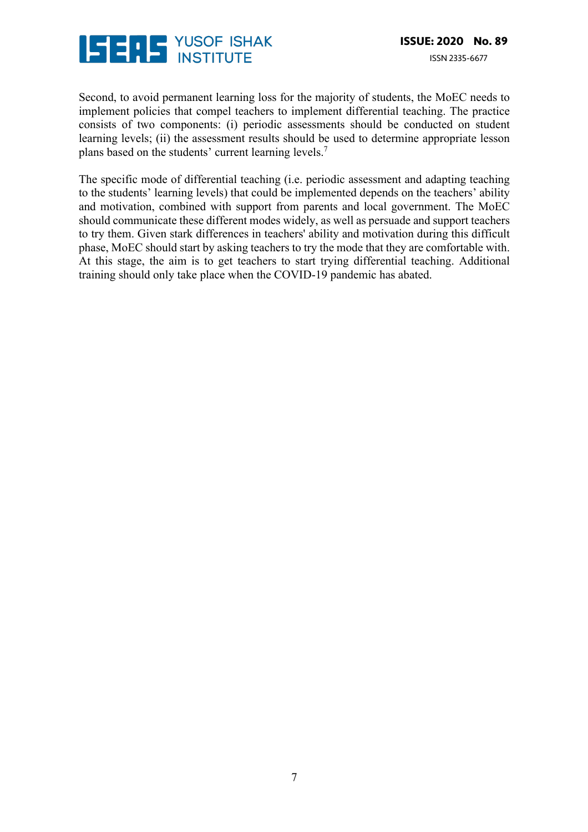

Second, to avoid permanent learning loss for the majority of students, the MoEC needs to implement policies that compel teachers to implement differential teaching. The practice consists of two components: (i) periodic assessments should be conducted on student learning levels; (ii) the assessment results should be used to determine appropriate lesson plans based on the students' current learning levels.<sup>7</sup>

The specific mode of differential teaching (i.e. periodic assessment and adapting teaching to the students' learning levels) that could be implemented depends on the teachers' ability and motivation, combined with support from parents and local government. The MoEC should communicate these different modes widely, as well as persuade and support teachers to try them. Given stark differences in teachers' ability and motivation during this difficult phase, MoEC should start by asking teachers to try the mode that they are comfortable with. At this stage, the aim is to get teachers to start trying differential teaching. Additional training should only take place when the COVID-19 pandemic has abated.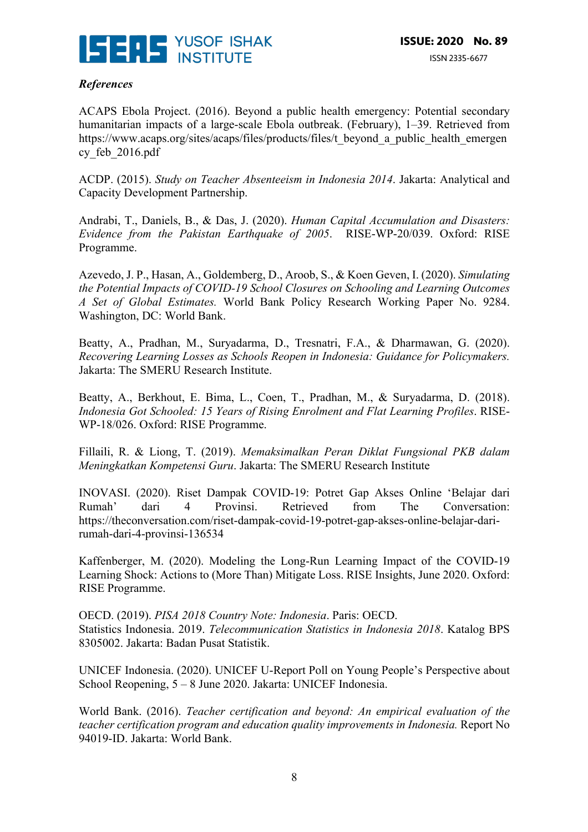

#### *References*

ACAPS Ebola Project. (2016). Beyond a public health emergency: Potential secondary humanitarian impacts of a large-scale Ebola outbreak. (February), 1–39. Retrieved from https://www.acaps.org/sites/acaps/files/products/files/t\_beyond\_a\_public\_health\_emergen cy\_feb\_2016.pdf

ACDP. (2015). *Study on Teacher Absenteeism in Indonesia 2014*. Jakarta: Analytical and Capacity Development Partnership.

Andrabi, T., Daniels, B., & Das, J. (2020). *Human Capital Accumulation and Disasters: Evidence from the Pakistan Earthquake of 2005*. RISE-WP-20/039. Oxford: RISE Programme.

Azevedo, J. P., Hasan, A., Goldemberg, D., Aroob, S., & Koen Geven, I. (2020). *Simulating the Potential Impacts of COVID-19 School Closures on Schooling and Learning Outcomes A Set of Global Estimates.* World Bank Policy Research Working Paper No. 9284. Washington, DC: World Bank.

Beatty, A., Pradhan, M., Suryadarma, D., Tresnatri, F.A., & Dharmawan, G. (2020). *Recovering Learning Losses as Schools Reopen in Indonesia: Guidance for Policymakers.* Jakarta: The SMERU Research Institute.

Beatty, A., Berkhout, E. Bima, L., Coen, T., Pradhan, M., & Suryadarma, D. (2018). *Indonesia Got Schooled: 15 Years of Rising Enrolment and Flat Learning Profiles*. RISE-WP-18/026. Oxford: RISE Programme.

Fillaili, R. & Liong, T. (2019). *Memaksimalkan Peran Diklat Fungsional PKB dalam Meningkatkan Kompetensi Guru*. Jakarta: The SMERU Research Institute

INOVASI. (2020). Riset Dampak COVID-19: Potret Gap Akses Online 'Belajar dari Rumah' dari 4 Provinsi. Retrieved from The Conversation: https://theconversation.com/riset-dampak-covid-19-potret-gap-akses-online-belajar-darirumah-dari-4-provinsi-136534

Kaffenberger, M. (2020). Modeling the Long-Run Learning Impact of the COVID-19 Learning Shock: Actions to (More Than) Mitigate Loss. RISE Insights, June 2020. Oxford: RISE Programme.

OECD. (2019). *PISA 2018 Country Note: Indonesia*. Paris: OECD. Statistics Indonesia. 2019. *Telecommunication Statistics in Indonesia 2018*. Katalog BPS 8305002. Jakarta: Badan Pusat Statistik.

UNICEF Indonesia. (2020). UNICEF U-Report Poll on Young People's Perspective about School Reopening, 5 – 8 June 2020. Jakarta: UNICEF Indonesia.

World Bank. (2016). *Teacher certification and beyond: An empirical evaluation of the teacher certification program and education quality improvements in Indonesia.* Report No 94019-ID. Jakarta: World Bank.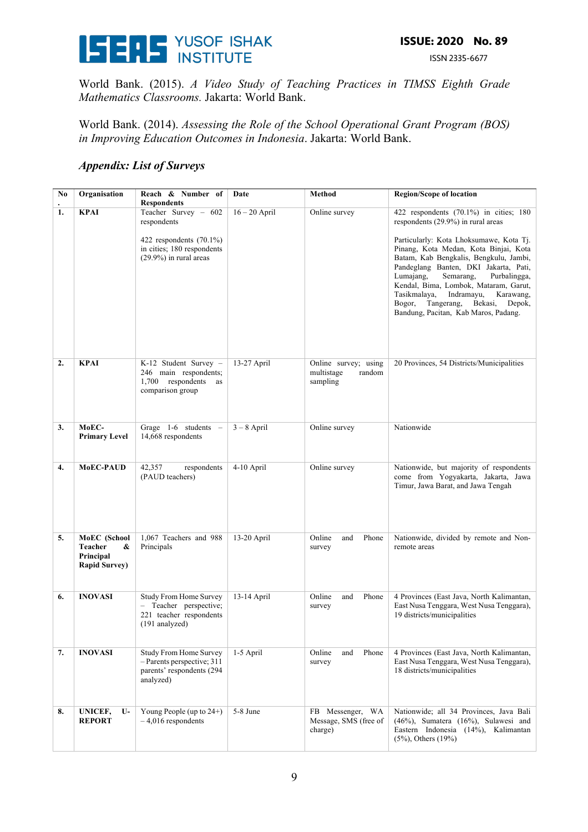

ISSN 2335-6677

World Bank. (2015). *A Video Study of Teaching Practices in TIMSS Eighth Grade Mathematics Classrooms.* Jakarta: World Bank.

World Bank. (2014). *Assessing the Role of the School Operational Grant Program (BOS) in Improving Education Outcomes in Indonesia*. Jakarta: World Bank.

#### *Appendix: List of Surveys*

| No | Organisation                                                             | Reach & Number of<br><b>Respondents</b>                                                                                      | Date            | Method                                                   | <b>Region/Scope of location</b>                                                                                                                                                                                                                                                                                                                                                                                                                                           |
|----|--------------------------------------------------------------------------|------------------------------------------------------------------------------------------------------------------------------|-----------------|----------------------------------------------------------|---------------------------------------------------------------------------------------------------------------------------------------------------------------------------------------------------------------------------------------------------------------------------------------------------------------------------------------------------------------------------------------------------------------------------------------------------------------------------|
| 1. | <b>KPAI</b>                                                              | Teacher Survey - 602<br>respondents<br>422 respondents $(70.1\%)$<br>in cities; 180 respondents<br>$(29.9\%)$ in rural areas | $16 - 20$ April | Online survey                                            | 422 respondents $(70.1\%)$ in cities; 180<br>respondents (29.9%) in rural areas<br>Particularly: Kota Lhoksumawe, Kota Tj.<br>Pinang, Kota Medan, Kota Binjai, Kota<br>Batam, Kab Bengkalis, Bengkulu, Jambi,<br>Pandeglang Banten, DKI Jakarta, Pati,<br>Lumajang,<br>Semarang,<br>Purbalingga,<br>Kendal, Bima, Lombok, Mataram, Garut,<br>Tasikmalaya,<br>Indramayu,<br>Karawang,<br>Tangerang,<br>Bogor,<br>Bekasi,<br>Depok,<br>Bandung, Pacitan, Kab Maros, Padang. |
| 2. | <b>KPAI</b>                                                              | K-12 Student Survey -<br>246 main respondents;<br>1,700 respondents<br>as<br>comparison group                                | 13-27 April     | Online survey; using<br>random<br>multistage<br>sampling | 20 Provinces, 54 Districts/Municipalities                                                                                                                                                                                                                                                                                                                                                                                                                                 |
| 3. | MoEC-<br><b>Primary Level</b>                                            | Grage $1-6$ students $-$<br>14,668 respondents                                                                               | $3 - 8$ April   | Online survey                                            | Nationwide                                                                                                                                                                                                                                                                                                                                                                                                                                                                |
| 4. | MoEC-PAUD                                                                | 42,357<br>respondents<br>(PAUD teachers)                                                                                     | 4-10 April      | Online survey                                            | Nationwide, but majority of respondents<br>come from Yogyakarta, Jakarta, Jawa<br>Timur, Jawa Barat, and Jawa Tengah                                                                                                                                                                                                                                                                                                                                                      |
| 5. | MoEC (School<br><b>Teacher</b><br>&<br>Principal<br><b>Rapid Survey)</b> | 1,067 Teachers and 988<br>Principals                                                                                         | 13-20 April     | Online<br>Phone<br>and<br>survey                         | Nationwide, divided by remote and Non-<br>remote areas                                                                                                                                                                                                                                                                                                                                                                                                                    |
| 6. | <b>INOVASI</b>                                                           | Study From Home Survey<br>- Teacher perspective;<br>221 teacher respondents<br>$(191$ analyzed)                              | 13-14 April     | Online<br>and<br>Phone<br>survey                         | 4 Provinces (East Java, North Kalimantan,<br>East Nusa Tenggara, West Nusa Tenggara),<br>19 districts/municipalities                                                                                                                                                                                                                                                                                                                                                      |
| 7. | <b>INOVASI</b>                                                           | <b>Study From Home Survey</b><br>$-$ Parents perspective; 311<br>parents' respondents (294<br>analyzed)                      | 1-5 April       | Online<br>Phone<br>and<br>survey                         | 4 Provinces (East Java, North Kalimantan,<br>East Nusa Tenggara, West Nusa Tenggara),<br>18 districts/municipalities                                                                                                                                                                                                                                                                                                                                                      |
| 8. | UNICEF,<br>U-<br><b>REPORT</b>                                           | Young People (up to $24+$ )<br>$-4,016$ respondents                                                                          | 5-8 June        | FB Messenger, WA<br>Message, SMS (free of<br>charge)     | Nationwide; all 34 Provinces, Java Bali<br>$(46\%)$ , Sumatera $(16\%)$ , Sulawesi and<br>Eastern Indonesia (14%), Kalimantan<br>(5%), Others (19%)                                                                                                                                                                                                                                                                                                                       |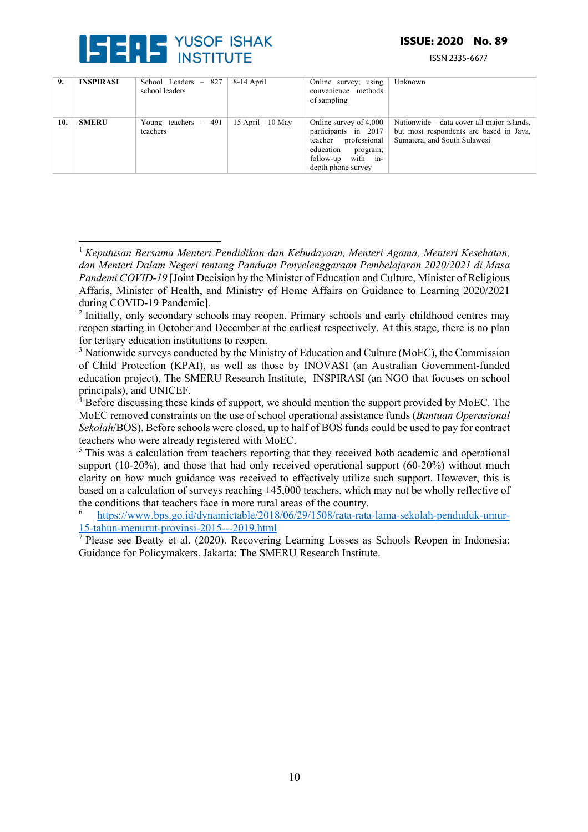

#### **ISSUE: 2020 No. 89**

ISSN 2335-6677

| 9.  | <b>INSPIRASI</b> | School Leaders $-827$<br>school leaders | 8-14 April           | Online survey; using<br>convenience methods<br>of sampling                                                                                  | Unknown                                                                                                               |
|-----|------------------|-----------------------------------------|----------------------|---------------------------------------------------------------------------------------------------------------------------------------------|-----------------------------------------------------------------------------------------------------------------------|
| 10. | <b>SMERU</b>     | Young teachers $-491$<br>teachers       | $15$ April $-10$ May | Online survey of 4,000<br>participants in 2017<br>teacher professional<br>education<br>program;<br>follow-up with in-<br>depth phone survey | Nationwide – data cover all major islands,<br>but most respondents are based in Java,<br>Sumatera, and South Sulawesi |

 $<sup>5</sup>$  This was a calculation from teachers reporting that they received both academic and operational</sup> support  $(10-20\%)$ , and those that had only received operational support  $(60-20\%)$  without much clarity on how much guidance was received to effectively utilize such support. However, this is based on a calculation of surveys reaching  $\pm 45,000$  teachers, which may not be wholly reflective of the conditions that teachers face in more rural areas of the country.

<sup>6</sup> https://www.bps.go.id/dynamictable/2018/06/29/1508/rata-rata-lama-sekolah-penduduk-umur-15-tahun-menurut-provinsi-2015---2019.html

 $\sqrt{7}$  Please see Beatty et al. (2020). Recovering Learning Losses as Schools Reopen in Indonesia: Guidance for Policymakers. Jakarta: The SMERU Research Institute.

<sup>1</sup> *Keputusan Bersama Menteri Pendidikan dan Kebudayaan, Menteri Agama, Menteri Kesehatan, dan Menteri Dalam Negeri tentang Panduan Penyelenggaraan Pembelajaran 2020/2021 di Masa Pandemi COVID-19* [Joint Decision by the Minister of Education and Culture, Minister of Religious Affaris, Minister of Health, and Ministry of Home Affairs on Guidance to Learning 2020/2021 during COVID-19 Pandemic].

<sup>&</sup>lt;sup>2</sup> Initially, only secondary schools may reopen. Primary schools and early childhood centres may reopen starting in October and December at the earliest respectively. At this stage, there is no plan for tertiary education institutions to reopen.

 $3$  Nationwide surveys conducted by the Ministry of Education and Culture (MoEC), the Commission of Child Protection (KPAI), as well as those by INOVASI (an Australian Government-funded education project), The SMERU Research Institute, INSPIRASI (an NGO that focuses on school principals), and UNICEF.

<sup>&</sup>lt;sup>4</sup> Before discussing these kinds of support, we should mention the support provided by MoEC. The MoEC removed constraints on the use of school operational assistance funds (*Bantuan Operasional Sekolah*/BOS). Before schools were closed, up to half of BOS funds could be used to pay for contract teachers who were already registered with MoEC.